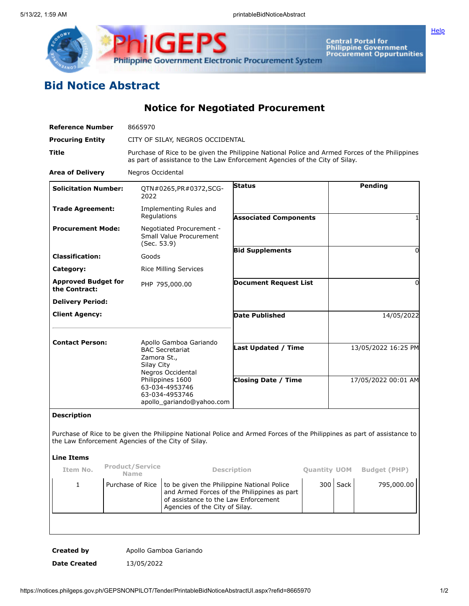

**Central Portal for<br>Philippine Government<br>Procurement Oppurtunities** 

**[Help](javascript:void(window.open()** 

## **Bid Notice Abstract**

**Notice for Negotiated Procurement**

| <b>Reference Number</b>                                                                                                                                                        | 8665970                                                                                                                                                                        |                                                                                                                                                                     |                              |                     |                     |                     |
|--------------------------------------------------------------------------------------------------------------------------------------------------------------------------------|--------------------------------------------------------------------------------------------------------------------------------------------------------------------------------|---------------------------------------------------------------------------------------------------------------------------------------------------------------------|------------------------------|---------------------|---------------------|---------------------|
| <b>Procuring Entity</b>                                                                                                                                                        | CITY OF SILAY, NEGROS OCCIDENTAL                                                                                                                                               |                                                                                                                                                                     |                              |                     |                     |                     |
| Title                                                                                                                                                                          | Purchase of Rice to be given the Philippine National Police and Armed Forces of the Philippines<br>as part of assistance to the Law Enforcement Agencies of the City of Silay. |                                                                                                                                                                     |                              |                     |                     |                     |
| <b>Area of Delivery</b>                                                                                                                                                        | Negros Occidental                                                                                                                                                              |                                                                                                                                                                     |                              |                     |                     |                     |
| <b>Solicitation Number:</b>                                                                                                                                                    | 2022                                                                                                                                                                           | QTN#0265, PR#0372, SCG-                                                                                                                                             | <b>Status</b>                |                     |                     | Pending             |
| <b>Trade Agreement:</b>                                                                                                                                                        | Regulations                                                                                                                                                                    | Implementing Rules and                                                                                                                                              | <b>Associated Components</b> |                     |                     |                     |
| <b>Procurement Mode:</b>                                                                                                                                                       | Negotiated Procurement -<br>Small Value Procurement<br>(Sec. 53.9)<br>Goods                                                                                                    |                                                                                                                                                                     |                              |                     |                     |                     |
| <b>Classification:</b>                                                                                                                                                         |                                                                                                                                                                                |                                                                                                                                                                     | <b>Bid Supplements</b>       |                     |                     | 0                   |
| Category:                                                                                                                                                                      |                                                                                                                                                                                | <b>Rice Milling Services</b>                                                                                                                                        |                              |                     |                     |                     |
| <b>Approved Budget for</b><br>PHP 795,000.00<br>the Contract:                                                                                                                  |                                                                                                                                                                                |                                                                                                                                                                     | <b>Document Request List</b> |                     | 0                   |                     |
| <b>Delivery Period:</b>                                                                                                                                                        |                                                                                                                                                                                |                                                                                                                                                                     |                              |                     |                     |                     |
| <b>Client Agency:</b>                                                                                                                                                          |                                                                                                                                                                                |                                                                                                                                                                     | Date Published               |                     |                     | 14/05/2022          |
| <b>Contact Person:</b>                                                                                                                                                         | Zamora St.,<br>Silay City                                                                                                                                                      | Apollo Gamboa Gariando<br><b>BAC Secretariat</b><br>Negros Occidental                                                                                               | <b>Last Updated / Time</b>   |                     | 13/05/2022 16:25 PM |                     |
|                                                                                                                                                                                |                                                                                                                                                                                | Philippines 1600<br>63-034-4953746<br>63-034-4953746<br>apollo_gariando@yahoo.com                                                                                   | <b>Closing Date / Time</b>   |                     | 17/05/2022 00:01 AM |                     |
| <b>Description</b>                                                                                                                                                             |                                                                                                                                                                                |                                                                                                                                                                     |                              |                     |                     |                     |
| Purchase of Rice to be given the Philippine National Police and Armed Forces of the Philippines as part of assistance to<br>the Law Enforcement Agencies of the City of Silay. |                                                                                                                                                                                |                                                                                                                                                                     |                              |                     |                     |                     |
| <b>Line Items</b>                                                                                                                                                              |                                                                                                                                                                                |                                                                                                                                                                     |                              |                     |                     |                     |
| Item No.                                                                                                                                                                       | <b>Product/Service</b><br><b>Name</b>                                                                                                                                          |                                                                                                                                                                     | <b>Description</b>           | <b>Quantity UOM</b> |                     | <b>Budget (PHP)</b> |
| 1                                                                                                                                                                              | Purchase of Rice                                                                                                                                                               | to be given the Philippine National Police<br>and Armed Forces of the Philippines as part<br>of assistance to the Law Enforcement<br>Agencies of the City of Silay. |                              | 300                 | Sack                | 795,000.00          |

**Created by** Apollo Gamboa Gariando **Date Created** 13/05/2022